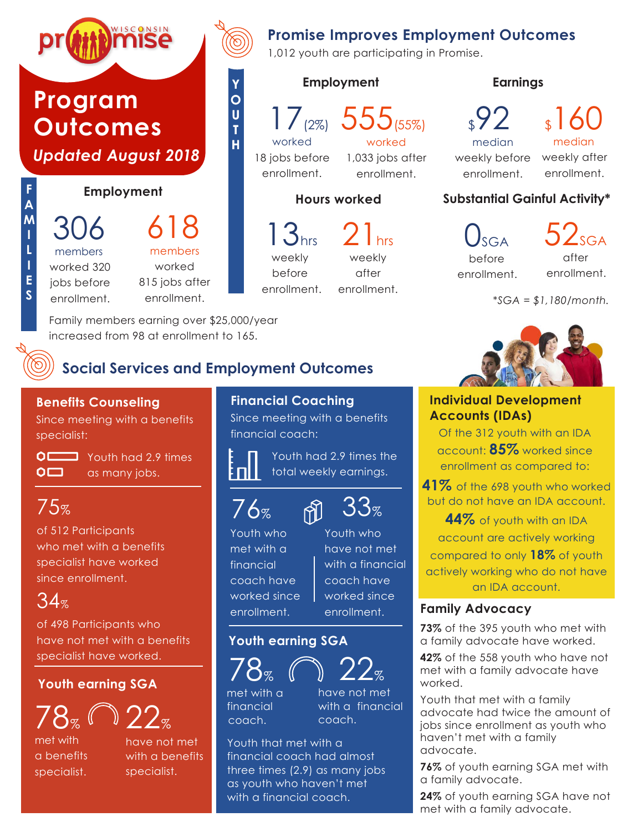

## **Promise Improves Employment Outcomes**

1,012 youth are participating in Promise.

#### **Employment**



**Y O U T H**

17(2%) 555(55%)

18 jobs before enrollment.

worked 1,033 jobs after enrollment.

#### **Hours worked**

13hrs weekly before enrollment.

21<sub>hrs</sub> weekly after enrollment.

 $\sqrt{2}$ median weekly before weekly after enrollment.

\$160 median

enrollment.

#### **Substantial Gainful Activity\***

**Earnings**

 $\mathbf{0}_{\text{SGA}}$ before enrollment.  $52$ <sub>SGA</sub> after enrollment.

*\*SGA = \$1,180/month.*



#### **Individual Development Accounts (IDAs)**

Of the 312 youth with an IDA account: **85%** worked since enrollment as compared to:

**41%** of the 698 youth who worked but do not have an IDA account.

**44%** of youth with an IDA account are actively working compared to only **18%** of youth actively working who do not have an IDA account.

#### **Family Advocacy**

**73%** of the 395 youth who met with a family advocate have worked.

**42%** of the 558 youth who have not met with a family advocate have worked.

Youth that met with a family advocate had twice the amount of jobs since enrollment as youth who haven't met with a family advocate.

**76%** of youth earning SGA met with a family advocate.

**24%** of youth earning SGA have not met with a family advocate.

## **Social Services and Employment Outcomes**

#### **Benefits Counseling**

Since meeting with a benefits specialist:



**OLLET** Youth had 2.9 times as many jobs.

Family members earning over \$25,000/year increased from 98 at enrollment to 165.

## 75%

of 512 Participants who met with a benefits specialist have worked since enrollment.

# $34%$

of 498 Participants who have not met with a benefits specialist have worked.

#### **Youth earning SGA**



met with a benefits specialist.



#### **Financial Coaching**

Since meeting with a benefits financial coach:

Youth had 2.9 times the total weekly earnings.



Youth who met with a financial coach have worked since enrollment.

Youth who have not met with a financial coach have worked since enrollment.

 $33$ %

#### **Youth earning SGA**



financial coach. met with a have not met with a financial coach.

Youth that met with a financial coach had almost three times (2.9) as many jobs as youth who haven't met with a financial coach.

 $\mathbb{M}$